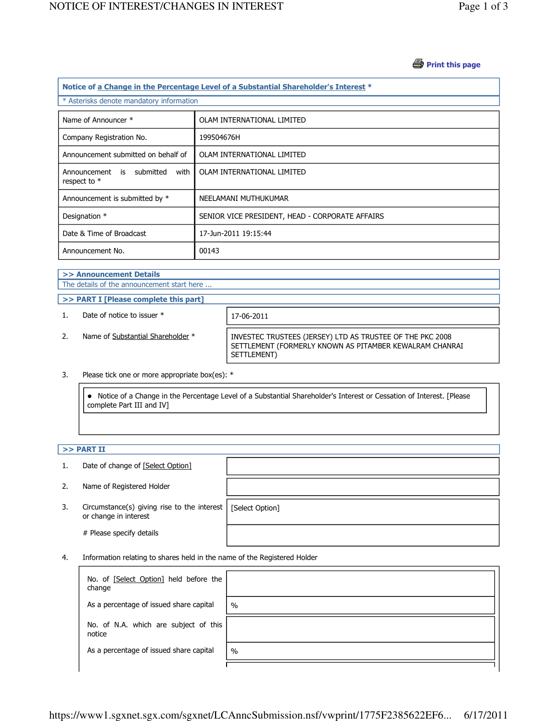#### *A* Print this page

| Notice of a Change in the Percentage Level of a Substantial Shareholder's Interest * |                                                 |  |  |
|--------------------------------------------------------------------------------------|-------------------------------------------------|--|--|
| * Asterisks denote mandatory information                                             |                                                 |  |  |
| Name of Announcer *                                                                  | OLAM INTERNATIONAL LIMITED                      |  |  |
| Company Registration No.                                                             | 199504676H                                      |  |  |
| Announcement submitted on behalf of                                                  | OLAM INTERNATIONAL LIMITED                      |  |  |
| Announcement is submitted<br>with<br>respect to *                                    | OLAM INTERNATIONAL LIMITED                      |  |  |
| Announcement is submitted by *                                                       | NEELAMANI MUTHUKUMAR                            |  |  |
| Designation *                                                                        | SENIOR VICE PRESIDENT, HEAD - CORPORATE AFFAIRS |  |  |
| Date & Time of Broadcast                                                             | 17-Jun-2011 19:15:44                            |  |  |
| Announcement No.                                                                     | 00143                                           |  |  |

#### >> Announcement Details The details of the announcement start here ...

>> PART I [Please complete this part]

1. Date of notice to issuer  $*$  17-06-2011

2. Name of Substantial Shareholder \* INVESTEC TRUSTEES (JERSEY) LTD AS TRUSTEE OF THE PKC 2008 SETTLEMENT (FORMERLY KNOWN AS PITAMBER KEWALRAM CHANRAI SETTLEMENT)

#### 3. Please tick one or more appropriate box(es): \*

 Notice of a Change in the Percentage Level of a Substantial Shareholder's Interest or Cessation of Interest. [Please complete Part III and IV]

## $>>$  PART II

| 1. | Date of change of [Select Option]                                    |                 |
|----|----------------------------------------------------------------------|-----------------|
| 2. | Name of Registered Holder                                            |                 |
| 3. | Circumstance(s) giving rise to the interest<br>or change in interest | [Select Option] |
|    | # Please specify details                                             |                 |

4. Information relating to shares held in the name of the Registered Holder

| No. of [Select Option] held before the<br>change |      |
|--------------------------------------------------|------|
| As a percentage of issued share capital          | $\%$ |
| No. of N.A. which are subject of this<br>notice  |      |
| As a percentage of issued share capital          | $\%$ |
|                                                  |      |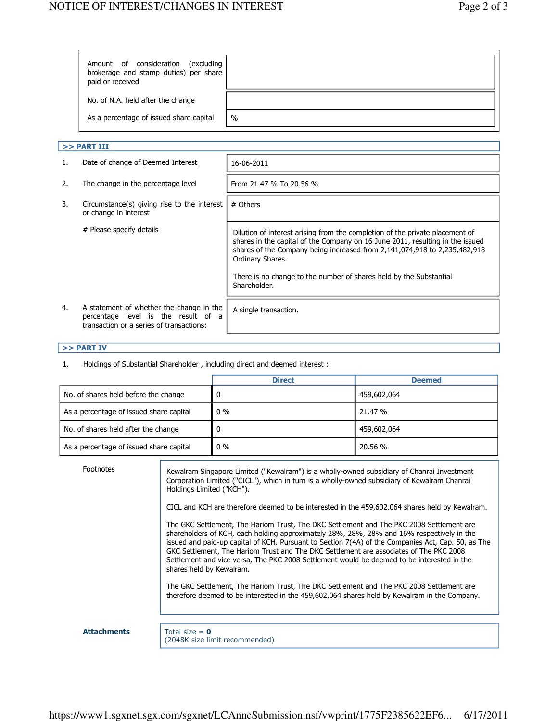| Amount of consideration<br>excluding)<br>brokerage and stamp duties) per share<br>paid or received |      |
|----------------------------------------------------------------------------------------------------|------|
| No. of N.A. held after the change                                                                  |      |
| As a percentage of issued share capital                                                            | $\%$ |

## $>>$  PART III

| 1. | Date of change of Deemed Interest                                                                                           | 16-06-2011                                                                                                                                                                                                                                                                                                                           |
|----|-----------------------------------------------------------------------------------------------------------------------------|--------------------------------------------------------------------------------------------------------------------------------------------------------------------------------------------------------------------------------------------------------------------------------------------------------------------------------------|
| 2. | The change in the percentage level                                                                                          | From 21.47 % To 20.56 %                                                                                                                                                                                                                                                                                                              |
| 3. | Circumstance(s) giving rise to the interest<br>or change in interest                                                        | # Others                                                                                                                                                                                                                                                                                                                             |
|    | # Please specify details                                                                                                    | Dilution of interest arising from the completion of the private placement of<br>shares in the capital of the Company on 16 June 2011, resulting in the issued<br>shares of the Company being increased from 2,141,074,918 to 2,235,482,918<br>Ordinary Shares.<br>There is no change to the number of shares held by the Substantial |
|    |                                                                                                                             | Shareholder.                                                                                                                                                                                                                                                                                                                         |
| 4. | A statement of whether the change in the<br>percentage level is the result of a<br>transaction or a series of transactions: | A single transaction.                                                                                                                                                                                                                                                                                                                |

# >> PART IV

1. Holdings of Substantial Shareholder, including direct and deemed interest :

|                                         | <b>Direct</b> | <b>Deemed</b> |
|-----------------------------------------|---------------|---------------|
| No. of shares held before the change    |               | 459,602,064   |
| As a percentage of issued share capital | $0\%$         | 21.47 %       |
| No. of shares held after the change     |               | 459,602,064   |
| As a percentage of issued share capital | $0\%$         | 20.56 %       |

| Footnotes          | Kewalram Singapore Limited ("Kewalram") is a wholly-owned subsidiary of Chanrai Investment<br>Corporation Limited ("CICL"), which in turn is a wholly-owned subsidiary of Kewalram Chanrai<br>Holdings Limited ("KCH").                                                                                                                                                                                                                                                                                         |
|--------------------|-----------------------------------------------------------------------------------------------------------------------------------------------------------------------------------------------------------------------------------------------------------------------------------------------------------------------------------------------------------------------------------------------------------------------------------------------------------------------------------------------------------------|
|                    | CICL and KCH are therefore deemed to be interested in the 459,602,064 shares held by Kewalram.                                                                                                                                                                                                                                                                                                                                                                                                                  |
|                    | The GKC Settlement, The Hariom Trust, The DKC Settlement and The PKC 2008 Settlement are<br>shareholders of KCH, each holding approximately 28%, 28%, 28% and 16% respectively in the<br>issued and paid-up capital of KCH. Pursuant to Section 7(4A) of the Companies Act, Cap. 50, as The<br>GKC Settlement, The Hariom Trust and The DKC Settlement are associates of The PKC 2008<br>Settlement and vice versa, The PKC 2008 Settlement would be deemed to be interested in the<br>shares held by Kewalram. |
|                    | The GKC Settlement, The Hariom Trust, The DKC Settlement and The PKC 2008 Settlement are<br>therefore deemed to be interested in the 459,602,064 shares held by Kewalram in the Company.                                                                                                                                                                                                                                                                                                                        |
|                    |                                                                                                                                                                                                                                                                                                                                                                                                                                                                                                                 |
| <b>Attachments</b> | Total size = $\theta$<br>(2048K size limit recommended)                                                                                                                                                                                                                                                                                                                                                                                                                                                         |